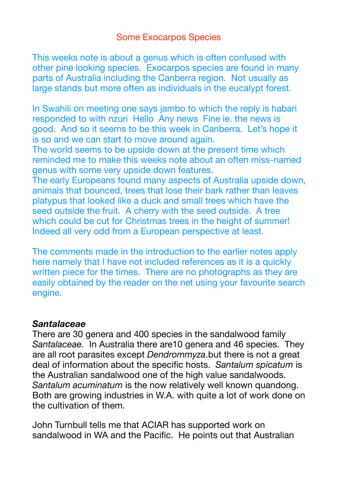## Some Exocarpos Species

This weeks note is about a genus which is often confused with other pine looking species. Exocarpos species are found in many parts of Australia including the Canberra region. Not usually as large stands but more often as individuals in the eucalypt forest.

In Swahili on meeting one says jambo to which the reply is habari responded to with nzuri Hello Any news Fine ie. the news is good. And so it seems to be this week in Canberra. Let's hope it is so and we can start to move around again.

The world seems to be upside down at the present time which reminded me to make this weeks note about an often miss-named genus with some very upside down features.

The early Europeans found many aspects of Australia upside down, animals that bounced, trees that lose their bark rather than leaves platypus that looked like a duck and small trees which have the seed outside the fruit. A cherry with the seed outside. A tree which could be cut for Christmas trees in the height of summer! Indeed all very odd from a European perspective at least.

The comments made in the introduction to the earlier notes apply here namely that I have not included references as it is a quickly written piece for the times. There are no photographs as they are easily obtained by the reader on the net using your favourite search engine.

#### *Santalaceae*

There are 30 genera and 400 species in the sandalwood family *Santalaceae.* In Australia there are10 genera and 46 species. They are all root parasites except *Dendrommyza*.but there is not a great deal of information about the specific hosts. *Santalum spicatum* is the Australian sandalwood one of the high value sandalwoods. *Santalum acuminatum* is the now relatively well known quandong. Both are growing industries in W.A. with quite a lot of work done on the cultivation of them.

John Turnbull tells me that ACIAR has supported work on sandalwood in WA and the Pacific. He points out that Australian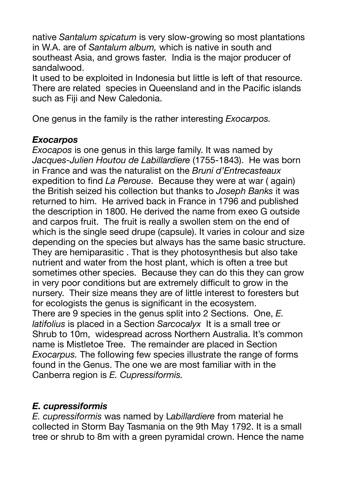native *Santalum spicatum* is very slow-growing so most plantations in W.A. are of *Santalum album,* which is native in south and southeast Asia, and grows faster. India is the major producer of sandalwood.

It used to be exploited in Indonesia but little is left of that resource. There are related species in Queensland and in the Pacific islands such as Fiji and New Caledonia.

One genus in the family is the rather interesting *Exocarpos.* 

#### *Exocarpos*

*Exocapos* is one genus in this large family. It was named by *Jacques-Julien Houtou de Labillardiere* (1755-1843). He was born in France and was the naturalist on the *Bruni d'Entrecasteaux*  expedition to find *La Perouse*. Because they were at war ( again) the British seized his collection but thanks to *Joseph Banks* it was returned to him. He arrived back in France in 1796 and published the description in 1800. He derived the name from exeo G outside and carpos fruit. The fruit is really a swollen stem on the end of which is the single seed drupe (capsule). It varies in colour and size depending on the species but always has the same basic structure. They are hemiparasitic . That is they photosynthesis but also take nutrient and water from the host plant, which is often a tree but sometimes other species. Because they can do this they can grow in very poor conditions but are extremely difficult to grow in the nursery. Their size means they are of little interest to foresters but for ecologists the genus is significant in the ecosystem. There are 9 species in the genus split into 2 Sections. One, *E. latifolius* is placed in a Section *Sarcocalyx* It is a small tree or Shrub to 10m, widespread across Northern Australia. It's common name is Mistletoe Tree. The remainder are placed in Section *Exocarpus.* The following few species illustrate the range of forms found in the Genus. The one we are most familiar with in the Canberra region is *E. Cupressiformis.* 

## *E. cupressiformis*

*E. cupressiformis* was named by L*abillardiere* from material he collected in Storm Bay Tasmania on the 9th May 1792. It is a small tree or shrub to 8m with a green pyramidal crown. Hence the name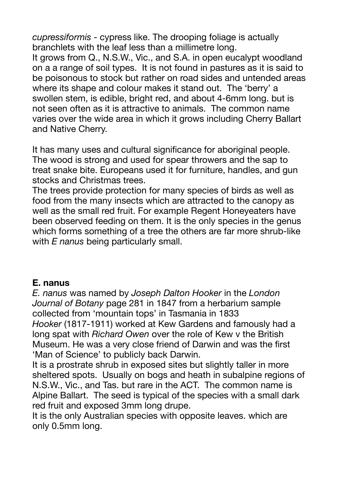*cupressiformis* - cypress like. The drooping foliage is actually branchlets with the leaf less than a millimetre long.

It grows from Q., N.S.W., Vic., and S.A. in open eucalypt woodland on a a range of soil types. It is not found in pastures as it is said to be poisonous to stock but rather on road sides and untended areas where its shape and colour makes it stand out. The 'berry' a swollen stem, is edible, bright red, and about 4-6mm long. but is not seen often as it is attractive to animals. The common name varies over the wide area in which it grows including Cherry Ballart and Native Cherry.

It has many uses and cultural significance for aboriginal people. The wood is strong and used for spear throwers and the sap to treat snake bite. Europeans used it for furniture, handles, and gun stocks and Christmas trees.

The trees provide protection for many species of birds as well as food from the many insects which are attracted to the canopy as well as the small red fruit. For example Regent Honeyeaters have been observed feeding on them. It is the only species in the genus which forms something of a tree the others are far more shrub-like with *E nanus* being particularly small.

## **E. nanus**

*E. nanus* was named by *Joseph Dalton Hooker* in the *London Journal of Botany* page 281 in 1847 from a herbarium sample collected from 'mountain tops' in Tasmania in 1833 *Hooker* (1817-1911) worked at Kew Gardens and famously had a long spat with *Richard Owen* over the role of Kew v the British Museum. He was a very close friend of Darwin and was the first 'Man of Science' to publicly back Darwin.

It is a prostrate shrub in exposed sites but slightly taller in more sheltered spots. Usually on bogs and heath in subalpine regions of N.S.W., Vic., and Tas. but rare in the ACT. The common name is Alpine Ballart. The seed is typical of the species with a small dark red fruit and exposed 3mm long drupe.

It is the only Australian species with opposite leaves. which are only 0.5mm long.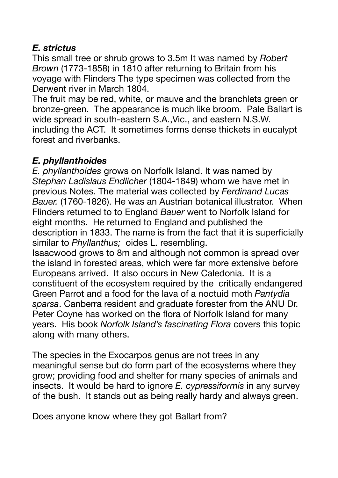# *E. strictus*

This small tree or shrub grows to 3.5m It was named by *Robert Brown* (1773-1858) in 1810 after returning to Britain from his voyage with Flinders The type specimen was collected from the Derwent river in March 1804.

The fruit may be red, white, or mauve and the branchlets green or bronze-green. The appearance is much like broom. Pale Ballart is wide spread in south-eastern S.A.,Vic., and eastern N.S.W. including the ACT. It sometimes forms dense thickets in eucalypt forest and riverbanks.

# *E. phyllanthoides*

*E. phyllanthoides* grows on Norfolk Island. It was named by *Stephan Ladislaus Endlicher* (1804-1849) whom we have met in previous Notes. The material was collected by *Ferdinand Lucas Bauer.* (1760-1826). He was an Austrian botanical illustrator. When Flinders returned to to England *Bauer* went to Norfolk Island for eight months. He returned to England and published the description in 1833. The name is from the fact that it is superficially similar to *Phyllanthus;* oides L. resembling.

Isaacwood grows to 8m and although not common is spread over the island in forested areas, which were far more extensive before Europeans arrived. It also occurs in New Caledonia. It is a constituent of the ecosystem required by the critically endangered Green Parrot and a food for the lava of a noctuid moth *Pantydia sparsa*. Canberra resident and graduate forester from the ANU Dr. Peter Coyne has worked on the flora of Norfolk Island for many years. His book *Norfolk Island's fascinating Flora* covers this topic along with many others.

The species in the Exocarpos genus are not trees in any meaningful sense but do form part of the ecosystems where they grow; providing food and shelter for many species of animals and insects. It would be hard to ignore *E. cypressiformis* in any survey of the bush. It stands out as being really hardy and always green.

Does anyone know where they got Ballart from?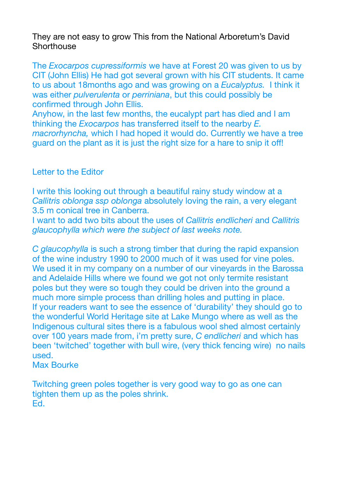They are not easy to grow This from the National Arboretum's David **Shorthouse** 

The *Exocarpos cupressiformis* we have at Forest 20 was given to us by CIT (John Ellis) He had got several grown with his CIT students. It came to us about 18months ago and was growing on a *Eucalyptus.* I think it was either *pulverulenta* or *perriniana*, but this could possibly be confirmed through John Ellis.

Anyhow, in the last few months, the eucalypt part has died and I am thinking the *Exocarpos* has transferred itself to the nearby *E. macrorhyncha,* which I had hoped it would do. Currently we have a tree guard on the plant as it is just the right size for a hare to snip it off!

#### Letter to the Editor

I write this looking out through a beautiful rainy study window at a *Callitris oblonga ssp oblonga* absolutely loving the rain, a very elegant 3.5 m conical tree in Canberra.

I want to add two bits about the uses of *Callitris endlicheri* and *Callitris glaucophylla which were the subject of last weeks note.* 

*C glaucophylla* is such a strong timber that during the rapid expansion of the wine industry 1990 to 2000 much of it was used for vine poles. We used it in my company on a number of our vineyards in the Barossa and Adelaide Hills where we found we got not only termite resistant poles but they were so tough they could be driven into the ground a much more simple process than drilling holes and putting in place. If your readers want to see the essence of 'durability' they should go to the wonderful World Heritage site at Lake Mungo where as well as the Indigenous cultural sites there is a fabulous wool shed almost certainly over 100 years made from, i'm pretty sure, *C endlicheri* and which has been 'twitched' together with bull wire, (very thick fencing wire) no nails used.

Max Bourke

Twitching green poles together is very good way to go as one can tighten them up as the poles shrink. Ed.